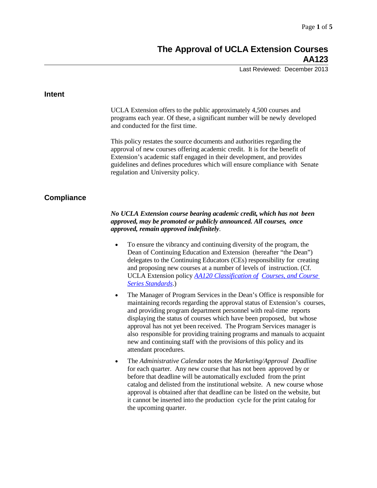# **The Approval of UCLA Extension Courses AA123**

Last Reviewed: December 2013

| <b>Intent</b>     |                                                                                                                                                                                                                                                                                                                                                                                                                                                                                                                                                                   |
|-------------------|-------------------------------------------------------------------------------------------------------------------------------------------------------------------------------------------------------------------------------------------------------------------------------------------------------------------------------------------------------------------------------------------------------------------------------------------------------------------------------------------------------------------------------------------------------------------|
|                   | UCLA Extension offers to the public approximately 4,500 courses and<br>programs each year. Of these, a significant number will be newly developed<br>and conducted for the first time.                                                                                                                                                                                                                                                                                                                                                                            |
|                   | This policy restates the source documents and authorities regarding the<br>approval of new courses offering academic credit. It is for the benefit of<br>Extension's academic staff engaged in their development, and provides<br>guidelines and defines procedures which will ensure compliance with Senate<br>regulation and University policy.                                                                                                                                                                                                                 |
| <b>Compliance</b> |                                                                                                                                                                                                                                                                                                                                                                                                                                                                                                                                                                   |
|                   | No UCLA Extension course bearing academic credit, which has not been<br>approved, may be promoted or publicly announced. All courses, once<br>approved, remain approved indefinitely.                                                                                                                                                                                                                                                                                                                                                                             |
|                   | To ensure the vibrancy and continuing diversity of the program, the<br>$\bullet$<br>Dean of Continuing Education and Extension (hereafter "the Dean")<br>delegates to the Continuing Educators (CEs) responsibility for creating<br>and proposing new courses at a number of levels of instruction. (Cf.<br>UCLA Extension policy AA120 Classification of Courses, and Course<br><b>Series Standards.)</b>                                                                                                                                                        |
|                   | The Manager of Program Services in the Dean's Office is responsible for<br>$\bullet$<br>maintaining records regarding the approval status of Extension's courses,<br>and providing program department personnel with real-time reports<br>displaying the status of courses which have been proposed, but whose<br>approval has not yet been received. The Program Services manager is<br>also responsible for providing training programs and manuals to acquaint<br>new and continuing staff with the provisions of this policy and its<br>attendant procedures. |
|                   | The Administrative Calendar notes the Marketing/Approval Deadline<br>$\bullet$<br>for each quarter. Any new course that has not been approved by or<br>before that deadline will be automatically excluded from the print<br>catalog and delisted from the institutional website. A new course whose<br>approval is obtained after that deadline can be listed on the website, but<br>it cannot be inserted into the production cycle for the print catalog for                                                                                                   |

the upcoming quarter.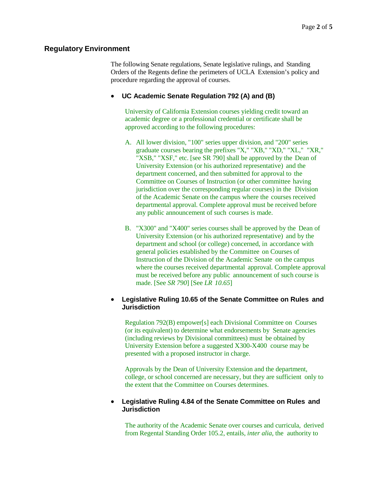## **Regulatory Environment**

The following Senate regulations, Senate legislative rulings, and Standing Orders of the Regents define the perimeters of UCLA Extension's policy and procedure regarding the approval of courses.

### • **UC Academic Senate Regulation 792 (A) and (B)**

University of California Extension courses yielding credit toward an academic degree or a professional credential or certificate shall be approved according to the following procedures:

- A. All lower division, "100" series upper division, and "200" series graduate courses bearing the prefixes "X," "XB," "XD," "XL," "XR," "XSB," "XSF," etc. [see SR 790] shall be approved by the Dean of University Extension (or his authorized representative) and the department concerned, and then submitted for approval to the Committee on Courses of Instruction (or other committee having jurisdiction over the corresponding regular courses) in the Division of the Academic Senate on the campus where the courses received departmental approval. Complete approval must be received before any public announcement of such courses is made.
- B. "X300" and "X400" series courses shall be approved by the Dean of University Extension (or his authorized representative) and by the department and school (or college) concerned, in accordance with general policies established by the Committee on Courses of Instruction of the Division of the Academic Senate on the campus where the courses received departmental approval. Complete approval must be received before any public announcement of such course is made. [See *SR 790*] [See *LR 10.65*]

# • **Legislative Ruling 10.65 of the Senate Committee on Rules and Jurisdiction**

Regulation 792(B) empower[s] each Divisional Committee on Courses (or its equivalent) to determine what endorsements by Senate agencies (including reviews by Divisional committees) must be obtained by University Extension before a suggested X300-X400 course may be presented with a proposed instructor in charge.

Approvals by the Dean of University Extension and the department, college, or school concerned are necessary, but they are sufficient only to the extent that the Committee on Courses determines.

### • **Legislative Ruling 4.84 of the Senate Committee on Rules and Jurisdiction**

The authority of the Academic Senate over courses and curricula, derived from Regental Standing Order 105.2, entails, *inter alia*, the authority to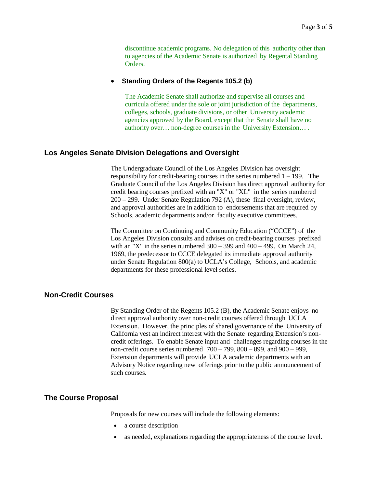discontinue academic programs. No delegation of this authority other than to agencies of the Academic Senate is authorized by Regental Standing Orders.

#### • **Standing Orders of the Regents 105.2 (b)**

The Academic Senate shall authorize and supervise all courses and curricula offered under the sole or joint jurisdiction of the departments, colleges, schools, graduate divisions, or other University academic agencies approved by the Board, except that the Senate shall have no authority over… non-degree courses in the University Extension… .

#### **Los Angeles Senate Division Delegations and Oversight**

The Undergraduate Council of the Los Angeles Division has oversight responsibility for credit-bearing courses in the series numbered 1 – 199. The Graduate Council of the Los Angeles Division has direct approval authority for credit bearing courses prefixed with an "X" or "XL" in the series numbered 200 – 299. Under Senate Regulation 792 (A), these final oversight, review, and approval authorities are in addition to endorsements that are required by Schools, academic departments and/or faculty executive committees.

The Committee on Continuing and Community Education ("CCCE") of the Los Angeles Division consults and advises on credit-bearing courses prefixed with an "X" in the series numbered  $300 - 399$  and  $400 - 499$ . On March 24, 1969, the predecessor to CCCE delegated its immediate approval authority under Senate Regulation 800(a) to UCLA's College, Schools, and academic departments for these professional level series.

# **Non-Credit Courses**

By Standing Order of the Regents 105.2 (B), the Academic Senate enjoys no direct approval authority over non-credit courses offered through UCLA Extension. However, the principles of shared governance of the University of California vest an indirect interest with the Senate regarding Extension's noncredit offerings. To enable Senate input and challenges regarding courses in the non-credit course series numbered 700 – 799, 800 – 899, and 900 – 999, Extension departments will provide UCLA academic departments with an Advisory Notice regarding new offerings prior to the public announcement of such courses.

#### **The Course Proposal**

Proposals for new courses will include the following elements:

- a course description
- as needed, explanations regarding the appropriateness of the course level.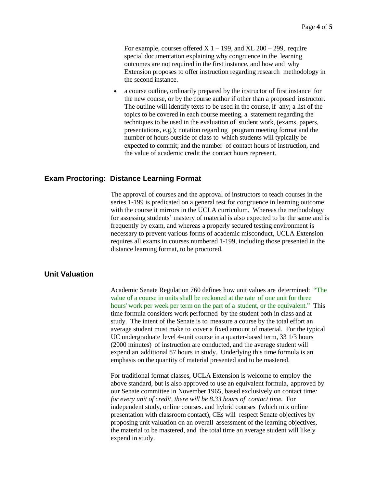For example, courses offered  $X$  1 – 199, and  $XL$  200 – 299, require special documentation explaining why congruence in the learning outcomes are not required in the first instance, and how and why Extension proposes to offer instruction regarding research methodology in the second instance.

• a course outline, ordinarily prepared by the instructor of first instance for the new course, or by the course author if other than a proposed instructor. The outline will identify texts to be used in the course, if any; a list of the topics to be covered in each course meeting, a statement regarding the techniques to be used in the evaluation of student work, (exams, papers, presentations, e.g.); notation regarding program meeting format and the number of hours outside of class to which students will typically be expected to commit; and the number of contact hours of instruction, and the value of academic credit the contact hours represent.

## **Exam Proctoring: Distance Learning Format**

The approval of courses and the approval of instructors to teach courses in the series 1-199 is predicated on a general test for congruence in learning outcome with the course it mirrors in the UCLA curriculum. Whereas the methodology for assessing students' mastery of material is also expected to be the same and is frequently by exam, and whereas a properly secured testing environment is necessary to prevent various forms of academic misconduct, UCLA Extension requires all exams in courses numbered 1-199, including those presented in the distance learning format, to be proctored.

# **Unit Valuation**

Academic Senate Regulation 760 defines how unit values are determined: "The value of a course in units shall be reckoned at the rate of one unit for three hours' work per week per term on the part of a student, or the equivalent." This time formula considers work performed by the student both in class and at study. The intent of the Senate is to measure a course by the total effort an average student must make to cover a fixed amount of material. For the typical UC undergraduate level 4-unit course in a quarter-based term, 33 1/3 hours (2000 minutes) of instruction are conducted, and the average student will expend an additional 87 hours in study. Underlying this time formula is an emphasis on the quantity of material presented and to be mastered.

For traditional format classes, UCLA Extension is welcome to employ the above standard, but is also approved to use an equivalent formula, approved by our Senate committee in November 1965, based exclusively on contact time*: for every unit of credit, there will be 8.33 hours of contact time.* For independent study, online courses. and hybrid courses (which mix online presentation with classroom contact), CEs will respect Senate objectives by proposing unit valuation on an overall assessment of the learning objectives, the material to be mastered, and the total time an average student will likely expend in study.